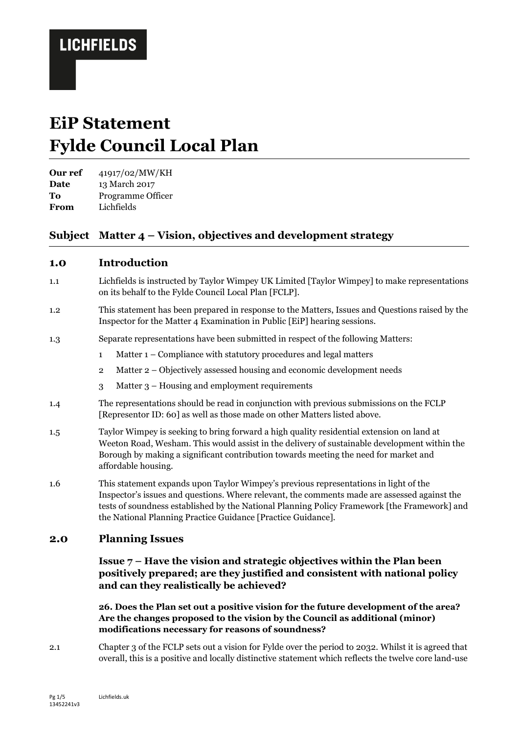# **EiP Statement Fylde Council Local Plan**

**Our ref** 41917/02/MW/KH

**Date** 13 March 2017

**To** Programme Officer

**From** Lichfields

### **Subject Matter 4 – Vision, objectives and development strategy**

### **1.0 Introduction**

- 1.1 Lichfields is instructed by Taylor Wimpey UK Limited [Taylor Wimpey] to make representations on its behalf to the Fylde Council Local Plan [FCLP].
- 1.2 This statement has been prepared in response to the Matters, Issues and Questions raised by the Inspector for the Matter 4 Examination in Public [EiP] hearing sessions.
- 1.3 Separate representations have been submitted in respect of the following Matters:
	- 1 Matter 1 Compliance with statutory procedures and legal matters
	- 2 Matter 2 Objectively assessed housing and economic development needs
	- 3 Matter 3 Housing and employment requirements
- 1.4 The representations should be read in conjunction with previous submissions on the FCLP [Representor ID: 60] as well as those made on other Matters listed above.
- 1.5 Taylor Wimpey is seeking to bring forward a high quality residential extension on land at Weeton Road, Wesham. This would assist in the delivery of sustainable development within the Borough by making a significant contribution towards meeting the need for market and affordable housing.
- 1.6 This statement expands upon Taylor Wimpey's previous representations in light of the Inspector's issues and questions. Where relevant, the comments made are assessed against the tests of soundness established by the National Planning Policy Framework [the Framework] and the National Planning Practice Guidance [Practice Guidance].

### **2.0 Planning Issues**

#### **Issue 7 – Have the vision and strategic objectives within the Plan been positively prepared; are they justified and consistent with national policy and can they realistically be achieved?**

**26. Does the Plan set out a positive vision for the future development of the area? Are the changes proposed to the vision by the Council as additional (minor) modifications necessary for reasons of soundness?**

2.1 Chapter 3 of the FCLP sets out a vision for Fylde over the period to 2032. Whilst it is agreed that overall, this is a positive and locally distinctive statement which reflects the twelve core land-use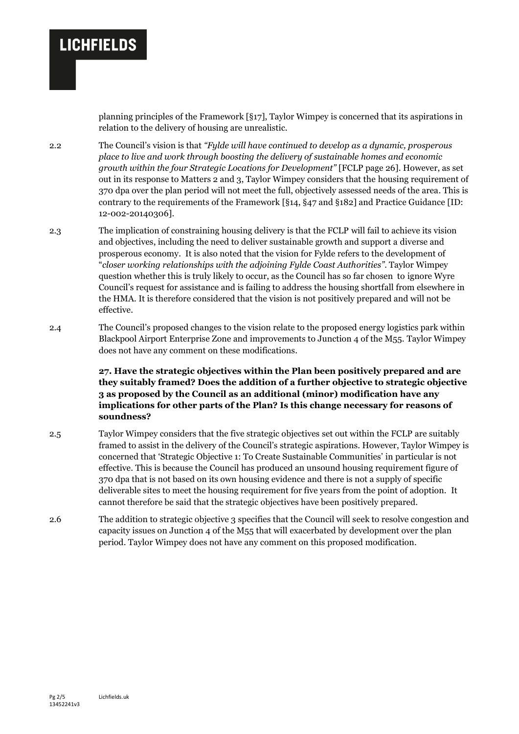planning principles of the Framework [§17], Taylor Wimpey is concerned that its aspirations in relation to the delivery of housing are unrealistic.

2.2 The Council's vision is that *"Fylde will have continued to develop as a dynamic, prosperous place to live and work through boosting the delivery of sustainable homes and economic growth within the four Strategic Locations for Development"* [FCLP page 26]. However, as set out in its response to Matters 2 and 3, Taylor Wimpey considers that the housing requirement of 370 dpa over the plan period will not meet the full, objectively assessed needs of the area. This is contrary to the requirements of the Framework [§14, §47 and §182] and Practice Guidance [ID: 12-002-20140306].

2.3 The implication of constraining housing delivery is that the FCLP will fail to achieve its vision and objectives, including the need to deliver sustainable growth and support a diverse and prosperous economy. It is also noted that the vision for Fylde refers to the development of "*closer working relationships with the adjoining Fylde Coast Authorities".* Taylor Wimpey question whether this is truly likely to occur, as the Council has so far chosen to ignore Wyre Council's request for assistance and is failing to address the housing shortfall from elsewhere in the HMA. It is therefore considered that the vision is not positively prepared and will not be effective.

2.4 The Council's proposed changes to the vision relate to the proposed energy logistics park within Blackpool Airport Enterprise Zone and improvements to Junction 4 of the M55. Taylor Wimpey does not have any comment on these modifications.

> **27. Have the strategic objectives within the Plan been positively prepared and are they suitably framed? Does the addition of a further objective to strategic objective 3 as proposed by the Council as an additional (minor) modification have any implications for other parts of the Plan? Is this change necessary for reasons of soundness?**

- 2.5 Taylor Wimpey considers that the five strategic objectives set out within the FCLP are suitably framed to assist in the delivery of the Council's strategic aspirations. However, Taylor Wimpey is concerned that 'Strategic Objective 1: To Create Sustainable Communities' in particular is not effective. This is because the Council has produced an unsound housing requirement figure of 370 dpa that is not based on its own housing evidence and there is not a supply of specific deliverable sites to meet the housing requirement for five years from the point of adoption. It cannot therefore be said that the strategic objectives have been positively prepared.
- 2.6 The addition to strategic objective 3 specifies that the Council will seek to resolve congestion and capacity issues on Junction 4 of the M55 that will exacerbated by development over the plan period. Taylor Wimpey does not have any comment on this proposed modification.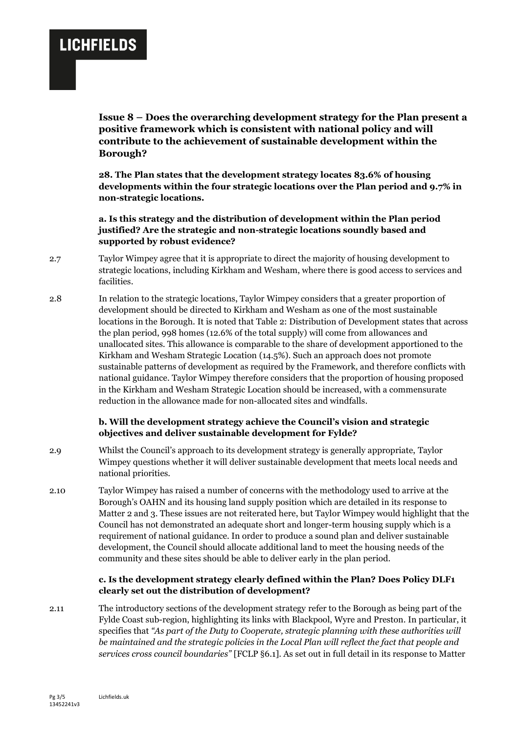**Issue 8 – Does the overarching development strategy for the Plan present a positive framework which is consistent with national policy and will contribute to the achievement of sustainable development within the Borough?**

**28. The Plan states that the development strategy locates 83.6% of housing developments within the four strategic locations over the Plan period and 9.7% in non-strategic locations.**

**a. Is this strategy and the distribution of development within the Plan period justified? Are the strategic and non-strategic locations soundly based and supported by robust evidence?**

- 2.7 Taylor Wimpey agree that it is appropriate to direct the majority of housing development to strategic locations, including Kirkham and Wesham, where there is good access to services and facilities.
- 2.8 In relation to the strategic locations, Taylor Wimpey considers that a greater proportion of development should be directed to Kirkham and Wesham as one of the most sustainable locations in the Borough. It is noted that Table 2: Distribution of Development states that across the plan period, 998 homes (12.6% of the total supply) will come from allowances and unallocated sites. This allowance is comparable to the share of development apportioned to the Kirkham and Wesham Strategic Location (14.5%). Such an approach does not promote sustainable patterns of development as required by the Framework, and therefore conflicts with national guidance. Taylor Wimpey therefore considers that the proportion of housing proposed in the Kirkham and Wesham Strategic Location should be increased, with a commensurate reduction in the allowance made for non-allocated sites and windfalls.

#### **b. Will the development strategy achieve the Council's vision and strategic objectives and deliver sustainable development for Fylde?**

- 2.9 Whilst the Council's approach to its development strategy is generally appropriate, Taylor Wimpey questions whether it will deliver sustainable development that meets local needs and national priorities.
- 2.10 Taylor Wimpey has raised a number of concerns with the methodology used to arrive at the Borough's OAHN and its housing land supply position which are detailed in its response to Matter 2 and 3. These issues are not reiterated here, but Taylor Wimpey would highlight that the Council has not demonstrated an adequate short and longer-term housing supply which is a requirement of national guidance. In order to produce a sound plan and deliver sustainable development, the Council should allocate additional land to meet the housing needs of the community and these sites should be able to deliver early in the plan period.

#### **c. Is the development strategy clearly defined within the Plan? Does Policy DLF1 clearly set out the distribution of development?**

2.11 The introductory sections of the development strategy refer to the Borough as being part of the Fylde Coast sub-region, highlighting its links with Blackpool, Wyre and Preston. In particular, it specifies that *"As part of the Duty to Cooperate, strategic planning with these authorities will*  be maintained and the strategic policies in the Local Plan will reflect the fact that people and *services cross council boundaries"* [FCLP §6.1]. As set out in full detail in its response to Matter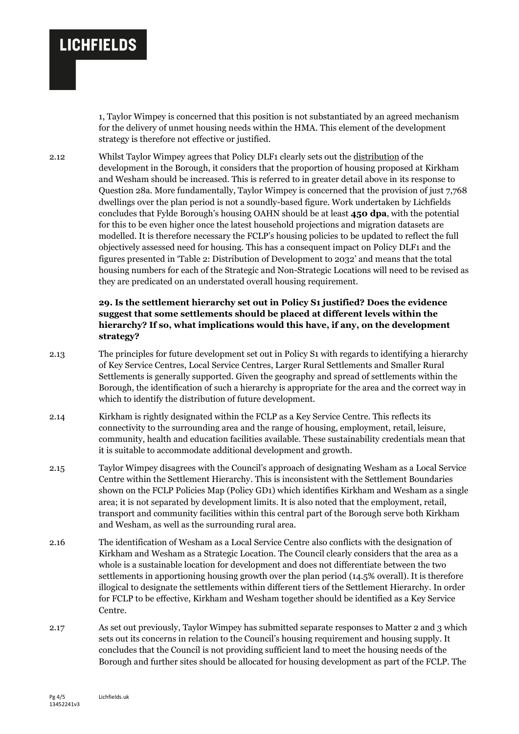1, Taylor Wimpey is concerned that this position is not substantiated by an agreed mechanism for the delivery of unmet housing needs within the HMA. This element of the development strategy is therefore not effective or justified.

2.12 Whilst Taylor Wimpey agrees that Policy DLF1 clearly sets out the distribution of the development in the Borough, it considers that the proportion of housing proposed at Kirkham and Wesham should be increased. This is referred to in greater detail above in its response to Question 28a. More fundamentally, Taylor Wimpey is concerned that the provision of just 7,768 dwellings over the plan period is not a soundly-based figure. Work undertaken by Lichfields concludes that Fylde Borough's housing OAHN should be at least **450 dpa**, with the potential for this to be even higher once the latest household projections and migration datasets are modelled. It is therefore necessary the FCLP's housing policies to be updated to reflect the full objectively assessed need for housing. This has a consequent impact on Policy DLF1 and the figures presented in 'Table 2: Distribution of Development to 2032' and means that the total housing numbers for each of the Strategic and Non-Strategic Locations will need to be revised as they are predicated on an understated overall housing requirement.

#### **29. Is the settlement hierarchy set out in Policy S1 justified? Does the evidence suggest that some settlements should be placed at different levels within the hierarchy? If so, what implications would this have, if any, on the development strategy?**

- 2.13 The principles for future development set out in Policy S1 with regards to identifying a hierarchy of Key Service Centres, Local Service Centres, Larger Rural Settlements and Smaller Rural Settlements is generally supported. Given the geography and spread of settlements within the Borough, the identification of such a hierarchy is appropriate for the area and the correct way in which to identify the distribution of future development.
- 2.14 Kirkham is rightly designated within the FCLP as a Key Service Centre. This reflects its connectivity to the surrounding area and the range of housing, employment, retail, leisure, community, health and education facilities available. These sustainability credentials mean that it is suitable to accommodate additional development and growth.
- 2.15 Taylor Wimpey disagrees with the Council's approach of designating Wesham as a Local Service Centre within the Settlement Hierarchy. This is inconsistent with the Settlement Boundaries shown on the FCLP Policies Map (Policy GD1) which identifies Kirkham and Wesham as a single area; it is not separated by development limits. It is also noted that the employment, retail, transport and community facilities within this central part of the Borough serve both Kirkham and Wesham, as well as the surrounding rural area.
- 2.16 The identification of Wesham as a Local Service Centre also conflicts with the designation of Kirkham and Wesham as a Strategic Location. The Council clearly considers that the area as a whole is a sustainable location for development and does not differentiate between the two settlements in apportioning housing growth over the plan period (14.5% overall). It is therefore illogical to designate the settlements within different tiers of the Settlement Hierarchy. In order for FCLP to be effective, Kirkham and Wesham together should be identified as a Key Service Centre.
- 2.17 As set out previously, Taylor Wimpey has submitted separate responses to Matter 2 and 3 which sets out its concerns in relation to the Council's housing requirement and housing supply. It concludes that the Council is not providing sufficient land to meet the housing needs of the Borough and further sites should be allocated for housing development as part of the FCLP. The